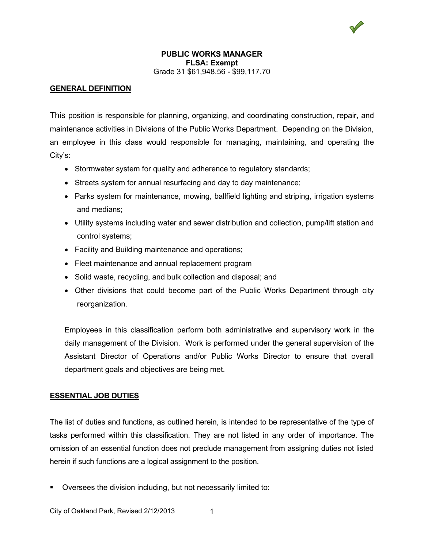# **GENERAL DEFINITION**

This position is responsible for planning, organizing, and coordinating construction, repair, and maintenance activities in Divisions of the Public Works Department. Depending on the Division, an employee in this class would responsible for managing, maintaining, and operating the City's:

- Stormwater system for quality and adherence to regulatory standards;
- Streets system for annual resurfacing and day to day maintenance;
- Parks system for maintenance, mowing, ballfield lighting and striping, irrigation systems and medians;
- Utility systems including water and sewer distribution and collection, pump/lift station and control systems;
- Facility and Building maintenance and operations;
- Fleet maintenance and annual replacement program
- Solid waste, recycling, and bulk collection and disposal; and
- Other divisions that could become part of the Public Works Department through city reorganization.

Employees in this classification perform both administrative and supervisory work in the daily management of the Division. Work is performed under the general supervision of the Assistant Director of Operations and/or Public Works Director to ensure that overall department goals and objectives are being met.

## **ESSENTIAL JOB DUTIES**

The list of duties and functions, as outlined herein, is intended to be representative of the type of tasks performed within this classification. They are not listed in any order of importance. The omission of an essential function does not preclude management from assigning duties not listed herein if such functions are a logical assignment to the position.

Oversees the division including, but not necessarily limited to: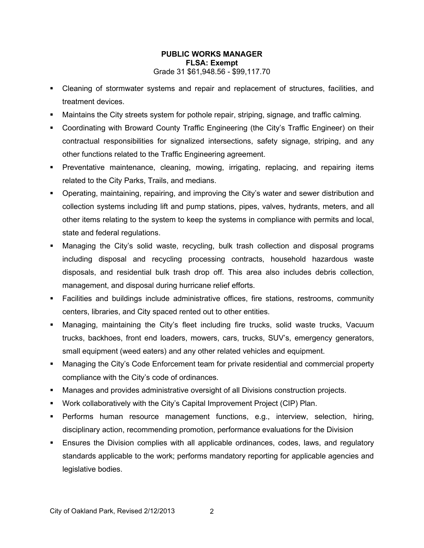- Cleaning of stormwater systems and repair and replacement of structures, facilities, and treatment devices.
- Maintains the City streets system for pothole repair, striping, signage, and traffic calming.
- Coordinating with Broward County Traffic Engineering (the City's Traffic Engineer) on their contractual responsibilities for signalized intersections, safety signage, striping, and any other functions related to the Traffic Engineering agreement.
- Preventative maintenance, cleaning, mowing, irrigating, replacing, and repairing items related to the City Parks, Trails, and medians.
- Operating, maintaining, repairing, and improving the City's water and sewer distribution and collection systems including lift and pump stations, pipes, valves, hydrants, meters, and all other items relating to the system to keep the systems in compliance with permits and local, state and federal regulations.
- Managing the City's solid waste, recycling, bulk trash collection and disposal programs including disposal and recycling processing contracts, household hazardous waste disposals, and residential bulk trash drop off. This area also includes debris collection, management, and disposal during hurricane relief efforts.
- Facilities and buildings include administrative offices, fire stations, restrooms, community centers, libraries, and City spaced rented out to other entities.
- Managing, maintaining the City's fleet including fire trucks, solid waste trucks, Vacuum trucks, backhoes, front end loaders, mowers, cars, trucks, SUV's, emergency generators, small equipment (weed eaters) and any other related vehicles and equipment.
- Managing the City's Code Enforcement team for private residential and commercial property compliance with the City's code of ordinances.
- Manages and provides administrative oversight of all Divisions construction projects.
- Work collaboratively with the City's Capital Improvement Project (CIP) Plan.
- Performs human resource management functions, e.g., interview, selection, hiring, disciplinary action, recommending promotion, performance evaluations for the Division
- Ensures the Division complies with all applicable ordinances, codes, laws, and regulatory standards applicable to the work; performs mandatory reporting for applicable agencies and legislative bodies.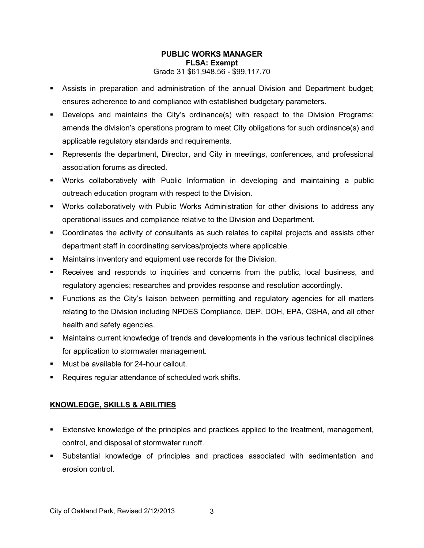- Assists in preparation and administration of the annual Division and Department budget; ensures adherence to and compliance with established budgetary parameters.
- Develops and maintains the City's ordinance(s) with respect to the Division Programs; amends the division's operations program to meet City obligations for such ordinance(s) and applicable regulatory standards and requirements.
- Represents the department, Director, and City in meetings, conferences, and professional association forums as directed.
- Works collaboratively with Public Information in developing and maintaining a public outreach education program with respect to the Division.
- Works collaboratively with Public Works Administration for other divisions to address any operational issues and compliance relative to the Division and Department.
- Coordinates the activity of consultants as such relates to capital projects and assists other department staff in coordinating services/projects where applicable.
- Maintains inventory and equipment use records for the Division.
- Receives and responds to inquiries and concerns from the public, local business, and regulatory agencies; researches and provides response and resolution accordingly.
- Functions as the City's liaison between permitting and regulatory agencies for all matters relating to the Division including NPDES Compliance, DEP, DOH, EPA, OSHA, and all other health and safety agencies.
- Maintains current knowledge of trends and developments in the various technical disciplines for application to stormwater management.
- **Must be available for 24-hour callout.**
- Requires regular attendance of scheduled work shifts.

# **KNOWLEDGE, SKILLS & ABILITIES**

- **Extensive knowledge of the principles and practices applied to the treatment, management,** control, and disposal of stormwater runoff.
- Substantial knowledge of principles and practices associated with sedimentation and erosion control.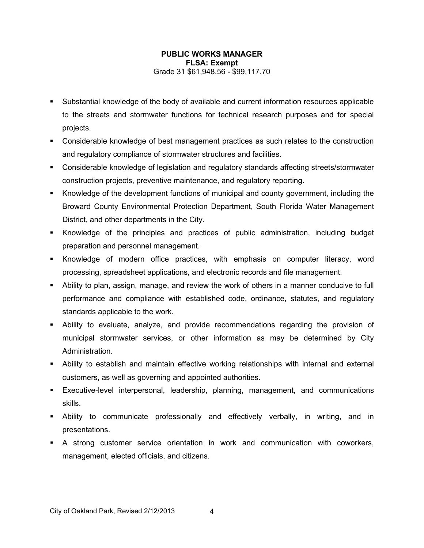- Substantial knowledge of the body of available and current information resources applicable to the streets and stormwater functions for technical research purposes and for special projects.
- Considerable knowledge of best management practices as such relates to the construction and regulatory compliance of stormwater structures and facilities.
- Considerable knowledge of legislation and regulatory standards affecting streets/stormwater construction projects, preventive maintenance, and regulatory reporting.
- Knowledge of the development functions of municipal and county government, including the Broward County Environmental Protection Department, South Florida Water Management District, and other departments in the City.
- Knowledge of the principles and practices of public administration, including budget preparation and personnel management.
- Knowledge of modern office practices, with emphasis on computer literacy, word processing, spreadsheet applications, and electronic records and file management.
- Ability to plan, assign, manage, and review the work of others in a manner conducive to full performance and compliance with established code, ordinance, statutes, and regulatory standards applicable to the work.
- Ability to evaluate, analyze, and provide recommendations regarding the provision of municipal stormwater services, or other information as may be determined by City Administration.
- Ability to establish and maintain effective working relationships with internal and external customers, as well as governing and appointed authorities.
- Executive-level interpersonal, leadership, planning, management, and communications skills.
- Ability to communicate professionally and effectively verbally, in writing, and in presentations.
- A strong customer service orientation in work and communication with coworkers, management, elected officials, and citizens.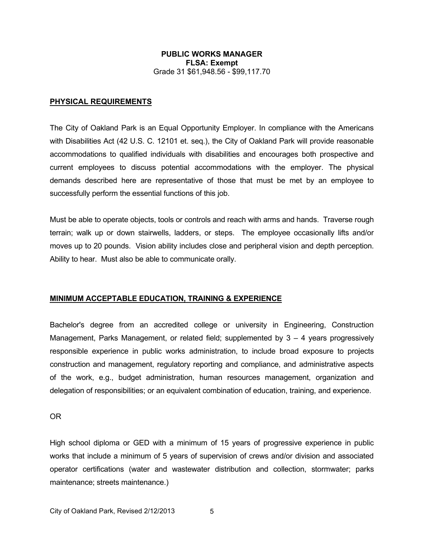### **PHYSICAL REQUIREMENTS**

The City of Oakland Park is an Equal Opportunity Employer. In compliance with the Americans with Disabilities Act (42 U.S. C. 12101 et. seq.), the City of Oakland Park will provide reasonable accommodations to qualified individuals with disabilities and encourages both prospective and current employees to discuss potential accommodations with the employer. The physical demands described here are representative of those that must be met by an employee to successfully perform the essential functions of this job.

Must be able to operate objects, tools or controls and reach with arms and hands. Traverse rough terrain; walk up or down stairwells, ladders, or steps. The employee occasionally lifts and/or moves up to 20 pounds. Vision ability includes close and peripheral vision and depth perception. Ability to hear. Must also be able to communicate orally.

## **MINIMUM ACCEPTABLE EDUCATION, TRAINING & EXPERIENCE**

Bachelor's degree from an accredited college or university in Engineering, Construction Management, Parks Management, or related field; supplemented by  $3 - 4$  years progressively responsible experience in public works administration, to include broad exposure to projects construction and management, regulatory reporting and compliance, and administrative aspects of the work, e.g., budget administration, human resources management, organization and delegation of responsibilities; or an equivalent combination of education, training, and experience.

OR

High school diploma or GED with a minimum of 15 years of progressive experience in public works that include a minimum of 5 years of supervision of crews and/or division and associated operator certifications (water and wastewater distribution and collection, stormwater; parks maintenance; streets maintenance.)